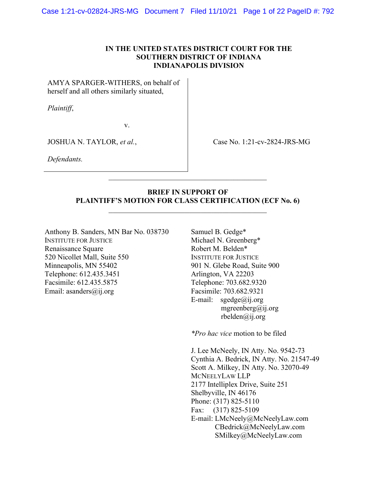## IN THE UNITED STATES DISTRICT COURT FOR THE SOUTHERN DISTRICT OF INDIANA INDIANAPOLIS DIVISION

AMYA SPARGER-WITHERS, on behalf of herself and all others similarly situated,

Plaintiff,

v.

JOSHUA N. TAYLOR, et al.,

Case No. 1:21-cv-2824-JRS-MG

Defendants.

## BRIEF IN SUPPORT OF PLAINTIFF'S MOTION FOR CLASS CERTIFICATION (ECF No. 6)

Anthony B. Sanders, MN Bar No. 038730 INSTITUTE FOR JUSTICE Renaissance Square 520 Nicollet Mall, Suite 550 Minneapolis, MN 55402 Telephone: 612.435.3451 Facsimile: 612.435.5875 Email: asanders@ij.org

Samuel B. Gedge\* Michael N. Greenberg\* Robert M. Belden\* INSTITUTE FOR JUSTICE 901 N. Glebe Road, Suite 900 Arlington, VA 22203 Telephone: 703.682.9320 Facsimile: 703.682.9321 E-mail:  $speedge@ii.org$ mgreenberg@ij.org rbelden@ij.org

\*Pro hac vice motion to be filed

J. Lee McNeely, IN Atty. No. 9542-73 Cynthia A. Bedrick, IN Atty. No. 21547-49 Scott A. Milkey, IN Atty. No. 32070-49 MCNEELYLAW LLP 2177 Intelliplex Drive, Suite 251 Shelbyville, IN 46176 Phone: (317) 825-5110 Fax: (317) 825-5109 E-mail: LMcNeely@McNeelyLaw.com CBedrick@McNeelyLaw.com SMilkey@McNeelyLaw.com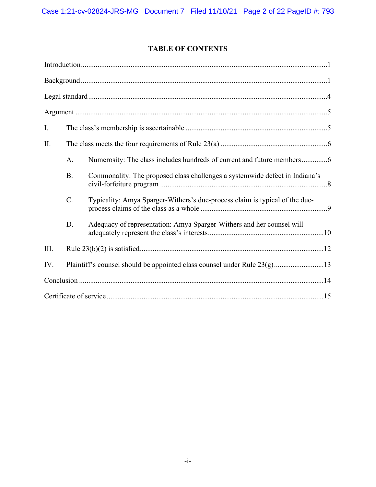# TABLE OF CONTENTS

| I.   |             |                                                                             |  |  |
|------|-------------|-----------------------------------------------------------------------------|--|--|
| Π.   |             |                                                                             |  |  |
|      | A.          |                                                                             |  |  |
|      | <b>B.</b>   | Commonality: The proposed class challenges a systemwide defect in Indiana's |  |  |
|      | $C_{\cdot}$ | Typicality: Amya Sparger-Withers's due-process claim is typical of the due- |  |  |
|      | D.          | Adequacy of representation: Amya Sparger-Withers and her counsel will       |  |  |
| III. |             |                                                                             |  |  |
| IV.  |             | Plaintiff's counsel should be appointed class counsel under Rule 23(g)13    |  |  |
|      |             |                                                                             |  |  |
|      |             |                                                                             |  |  |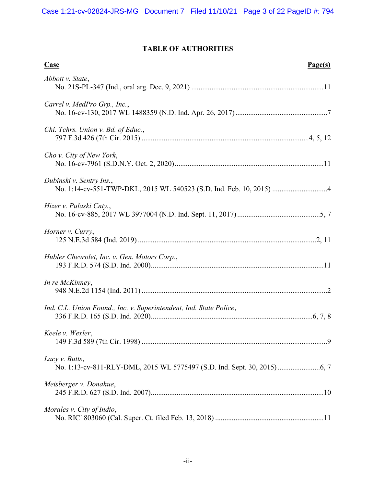# TABLE OF AUTHORITIES

| <b>Case</b><br>Page(s)                                             |
|--------------------------------------------------------------------|
| Abbott v. State,                                                   |
| Carrel v. MedPro Grp., Inc.,                                       |
| Chi. Tchrs. Union v. Bd. of Educ.,                                 |
| Cho v. City of New York,                                           |
| Dubinski v. Sentry Ins.,                                           |
| Hizer v. Pulaski Cnty.,                                            |
| Horner v. Curry,                                                   |
| Hubler Chevrolet, Inc. v. Gen. Motors Corp.,                       |
| In re McKinney,                                                    |
| Ind. C.L. Union Found., Inc. v. Superintendent, Ind. State Police, |
| Keele v. Wexler,                                                   |
| Lacy v. Butts,                                                     |
| Meisberger v. Donahue,                                             |
| Morales v. City of Indio,                                          |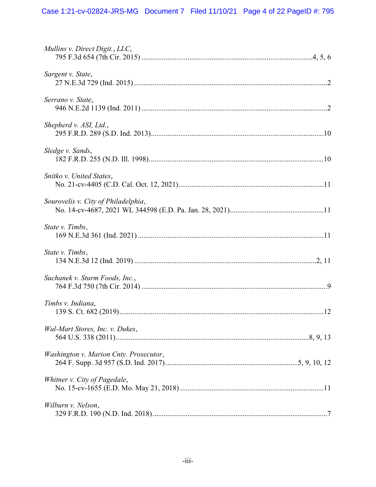| Mullins v. Direct Digit., LLC,         |
|----------------------------------------|
| Sargent v. State,                      |
| Serrano v. State,                      |
| Shepherd v. ASI, Ltd.,                 |
| Sledge v. Sands,                       |
| Snitko v. United States,               |
| Sourovelis v. City of Philadelphia,    |
| State v. Timbs,                        |
| State v. Timbs,                        |
| Suchanek v. Sturm Foods, Inc.,         |
| Timbs v. Indiana,                      |
| Wal-Mart Stores, Inc. v. Dukes,        |
| Washington v. Marion Cnty. Prosecutor, |
| Whitner v. City of Pagedale,           |
| Wilburn v. Nelson,                     |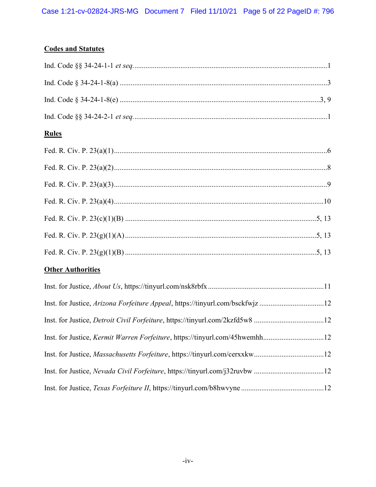# **Codes and Statutes**

# **Rules**

# **Other Authorities**

| Inst. for Justice, Arizona Forfeiture Appeal, https://tinyurl.com/bsckfwjz12 |  |
|------------------------------------------------------------------------------|--|
|                                                                              |  |
| Inst. for Justice, Kermit Warren Forfeiture, https://tinyurl.com/45hwemhh12  |  |
|                                                                              |  |
|                                                                              |  |
|                                                                              |  |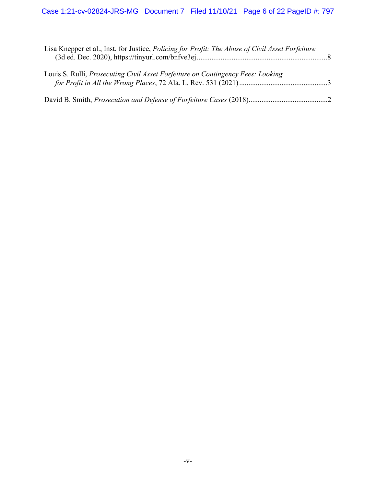| Lisa Knepper et al., Inst. for Justice, <i>Policing for Profit: The Abuse of Civil Asset Forfeiture</i> |  |
|---------------------------------------------------------------------------------------------------------|--|
| Louis S. Rulli, <i>Prosecuting Civil Asset Forfeiture on Contingency Fees: Looking</i>                  |  |
|                                                                                                         |  |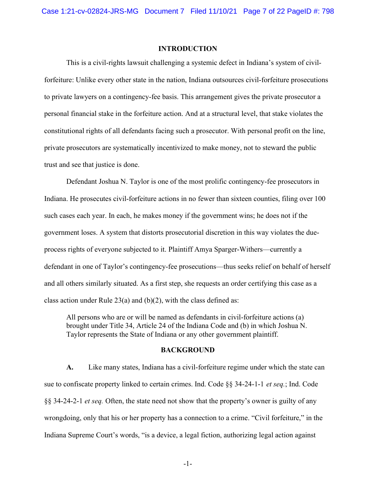#### INTRODUCTION

 This is a civil-rights lawsuit challenging a systemic defect in Indiana's system of civilforfeiture: Unlike every other state in the nation, Indiana outsources civil-forfeiture prosecutions to private lawyers on a contingency-fee basis. This arrangement gives the private prosecutor a personal financial stake in the forfeiture action. And at a structural level, that stake violates the constitutional rights of all defendants facing such a prosecutor. With personal profit on the line, private prosecutors are systematically incentivized to make money, not to steward the public trust and see that justice is done.

Defendant Joshua N. Taylor is one of the most prolific contingency-fee prosecutors in Indiana. He prosecutes civil-forfeiture actions in no fewer than sixteen counties, filing over 100 such cases each year. In each, he makes money if the government wins; he does not if the government loses. A system that distorts prosecutorial discretion in this way violates the dueprocess rights of everyone subjected to it. Plaintiff Amya Sparger-Withers—currently a defendant in one of Taylor's contingency-fee prosecutions—thus seeks relief on behalf of herself and all others similarly situated. As a first step, she requests an order certifying this case as a class action under Rule  $23(a)$  and (b)(2), with the class defined as:

All persons who are or will be named as defendants in civil-forfeiture actions (a) brought under Title 34, Article 24 of the Indiana Code and (b) in which Joshua N. Taylor represents the State of Indiana or any other government plaintiff.

#### BACKGROUND

A. Like many states, Indiana has a civil-forfeiture regime under which the state can sue to confiscate property linked to certain crimes. Ind. Code §§ 34-24-1-1 et seq.; Ind. Code §§ 34-24-2-1 et seq. Often, the state need not show that the property's owner is guilty of any wrongdoing, only that his or her property has a connection to a crime. "Civil forfeiture," in the Indiana Supreme Court's words, "is a device, a legal fiction, authorizing legal action against

-1-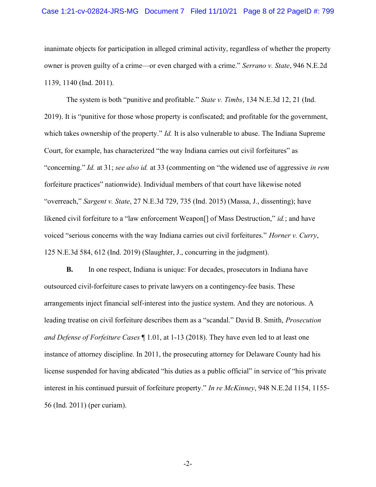#### Case 1:21-cv-02824-JRS-MG Document 7 Filed 11/10/21 Page 8 of 22 PageID #: 799

inanimate objects for participation in alleged criminal activity, regardless of whether the property owner is proven guilty of a crime—or even charged with a crime." Serrano v. State, 946 N.E.2d 1139, 1140 (Ind. 2011).

The system is both "punitive and profitable." State v. Timbs, 134 N.E.3d 12, 21 (Ind. 2019). It is "punitive for those whose property is confiscated; and profitable for the government, which takes ownership of the property." *Id.* It is also vulnerable to abuse. The Indiana Supreme Court, for example, has characterized "the way Indiana carries out civil forfeitures" as "concerning." Id. at 31; see also id. at 33 (commenting on "the widened use of aggressive in rem forfeiture practices" nationwide). Individual members of that court have likewise noted "overreach," Sargent v. State,  $27$  N.E.3d  $729$ ,  $735$  (Ind.  $2015$ ) (Massa, J., dissenting); have likened civil forfeiture to a "law enforcement Weapon<sup>[]</sup> of Mass Destruction," *id.*; and have voiced "serious concerns with the way Indiana carries out civil forfeitures." Horner v. Curry, 125 N.E.3d 584, 612 (Ind. 2019) (Slaughter, J., concurring in the judgment).

B. In one respect, Indiana is unique: For decades, prosecutors in Indiana have outsourced civil-forfeiture cases to private lawyers on a contingency-fee basis. These arrangements inject financial self-interest into the justice system. And they are notorious. A leading treatise on civil forfeiture describes them as a "scandal." David B. Smith, Prosecution and Defense of Forfeiture Cases ¶ 1.01, at 1-13 (2018). They have even led to at least one instance of attorney discipline. In 2011, the prosecuting attorney for Delaware County had his license suspended for having abdicated "his duties as a public official" in service of "his private interest in his continued pursuit of forfeiture property." In re McKinney, 948 N.E.2d 1154, 1155-56 (Ind. 2011) (per curiam).

-2-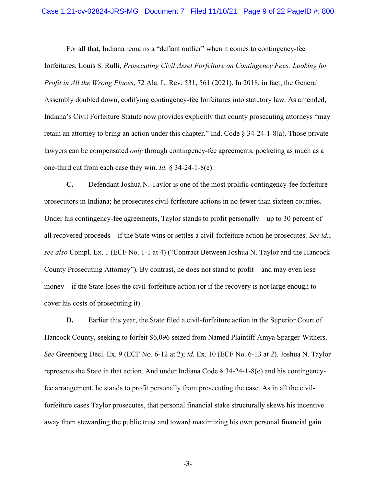#### Case 1:21-cv-02824-JRS-MG Document 7 Filed 11/10/21 Page 9 of 22 PageID #: 800

For all that, Indiana remains a "defiant outlier" when it comes to contingency-fee forfeitures. Louis S. Rulli, Prosecuting Civil Asset Forfeiture on Contingency Fees: Looking for Profit in All the Wrong Places, 72 Ala. L. Rev. 531, 561 (2021). In 2018, in fact, the General Assembly doubled down, codifying contingency-fee forfeitures into statutory law. As amended, Indiana's Civil Forfeiture Statute now provides explicitly that county prosecuting attorneys "may retain an attorney to bring an action under this chapter." Ind. Code  $\S 34-24-1-8(a)$ . Those private lawyers can be compensated *only* through contingency-fee agreements, pocketing as much as a one-third cut from each case they win. Id. § 34-24-1-8(e).

C. Defendant Joshua N. Taylor is one of the most prolific contingency-fee forfeiture prosecutors in Indiana; he prosecutes civil-forfeiture actions in no fewer than sixteen counties. Under his contingency-fee agreements, Taylor stands to profit personally—up to 30 percent of all recovered proceeds—if the State wins or settles a civil-forfeiture action he prosecutes. See id.; see also Compl. Ex. 1 (ECF No. 1-1 at 4) ("Contract Between Joshua N. Taylor and the Hancock County Prosecuting Attorney"). By contrast, he does not stand to profit—and may even lose money—if the State loses the civil-forfeiture action (or if the recovery is not large enough to cover his costs of prosecuting it).

D. Earlier this year, the State filed a civil-forfeiture action in the Superior Court of Hancock County, seeking to forfeit \$6,096 seized from Named Plaintiff Amya Sparger-Withers. See Greenberg Decl. Ex. 9 (ECF No. 6-12 at 2); id. Ex. 10 (ECF No. 6-13 at 2). Joshua N. Taylor represents the State in that action. And under Indiana Code § 34-24-1-8(e) and his contingencyfee arrangement, he stands to profit personally from prosecuting the case. As in all the civilforfeiture cases Taylor prosecutes, that personal financial stake structurally skews his incentive away from stewarding the public trust and toward maximizing his own personal financial gain.

-3-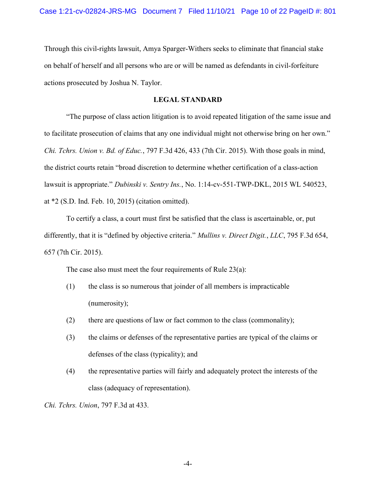Through this civil-rights lawsuit, Amya Sparger-Withers seeks to eliminate that financial stake on behalf of herself and all persons who are or will be named as defendants in civil-forfeiture actions prosecuted by Joshua N. Taylor.

### LEGAL STANDARD

"The purpose of class action litigation is to avoid repeated litigation of the same issue and to facilitate prosecution of claims that any one individual might not otherwise bring on her own." Chi. Tchrs. Union v. Bd. of Educ., 797 F.3d 426, 433 (7th Cir. 2015). With those goals in mind, the district courts retain "broad discretion to determine whether certification of a class-action lawsuit is appropriate." Dubinski v. Sentry Ins., No. 1:14-cv-551-TWP-DKL, 2015 WL 540523, at \*2 (S.D. Ind. Feb. 10, 2015) (citation omitted).

To certify a class, a court must first be satisfied that the class is ascertainable, or, put differently, that it is "defined by objective criteria." Mullins v. Direct Digit., LLC, 795 F.3d 654, 657 (7th Cir. 2015).

The case also must meet the four requirements of Rule 23(a):

- (1) the class is so numerous that joinder of all members is impracticable (numerosity);
- (2) there are questions of law or fact common to the class (commonality);
- (3) the claims or defenses of the representative parties are typical of the claims or defenses of the class (typicality); and
- (4) the representative parties will fairly and adequately protect the interests of the class (adequacy of representation).

Chi. Tchrs. Union, 797 F.3d at 433.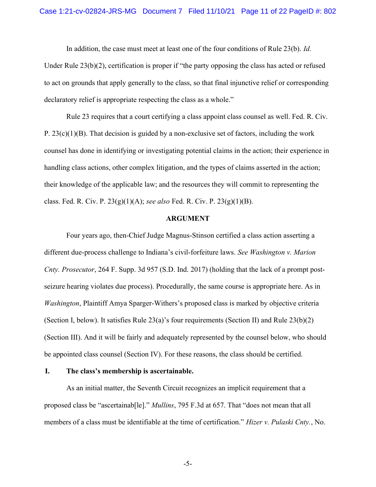In addition, the case must meet at least one of the four conditions of Rule 23(b). Id.

Under Rule 23(b)(2), certification is proper if "the party opposing the class has acted or refused to act on grounds that apply generally to the class, so that final injunctive relief or corresponding declaratory relief is appropriate respecting the class as a whole."

 Rule 23 requires that a court certifying a class appoint class counsel as well. Fed. R. Civ. P.  $23(c)(1)(B)$ . That decision is guided by a non-exclusive set of factors, including the work counsel has done in identifying or investigating potential claims in the action; their experience in handling class actions, other complex litigation, and the types of claims asserted in the action; their knowledge of the applicable law; and the resources they will commit to representing the class. Fed. R. Civ. P.  $23(g)(1)(A)$ ; see also Fed. R. Civ. P.  $23(g)(1)(B)$ .

### ARGUMENT

Four years ago, then-Chief Judge Magnus-Stinson certified a class action asserting a different due-process challenge to Indiana's civil-forfeiture laws. See Washington v. Marion Cnty. Prosecutor, 264 F. Supp. 3d 957 (S.D. Ind. 2017) (holding that the lack of a prompt postseizure hearing violates due process). Procedurally, the same course is appropriate here. As in Washington, Plaintiff Amya Sparger-Withers's proposed class is marked by objective criteria (Section I, below). It satisfies Rule 23(a)'s four requirements (Section II) and Rule 23(b)(2) (Section III). And it will be fairly and adequately represented by the counsel below, who should be appointed class counsel (Section IV). For these reasons, the class should be certified.

### I. The class's membership is ascertainable.

As an initial matter, the Seventh Circuit recognizes an implicit requirement that a proposed class be "ascertainab[le]." Mullins, 795 F.3d at 657. That "does not mean that all members of a class must be identifiable at the time of certification." Hizer v. Pulaski Cnty., No.

-5-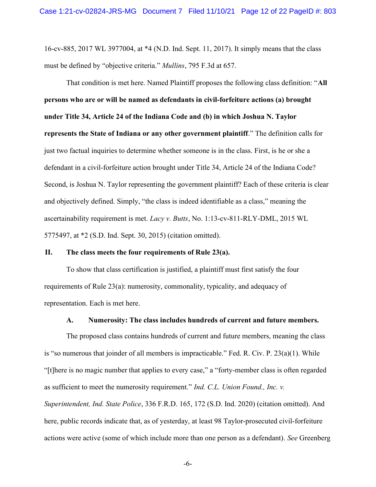16-cv-885, 2017 WL 3977004, at \*4 (N.D. Ind. Sept. 11, 2017). It simply means that the class must be defined by "objective criteria." Mullins, 795 F.3d at 657.

That condition is met here. Named Plaintiff proposes the following class definition: "All persons who are or will be named as defendants in civil-forfeiture actions (a) brought under Title 34, Article 24 of the Indiana Code and (b) in which Joshua N. Taylor represents the State of Indiana or any other government plaintiff." The definition calls for just two factual inquiries to determine whether someone is in the class. First, is he or she a defendant in a civil-forfeiture action brought under Title 34, Article 24 of the Indiana Code? Second, is Joshua N. Taylor representing the government plaintiff? Each of these criteria is clear and objectively defined. Simply, "the class is indeed identifiable as a class," meaning the ascertainability requirement is met. Lacy v. Butts, No. 1:13-cv-811-RLY-DML, 2015 WL 5775497, at \*2 (S.D. Ind. Sept. 30, 2015) (citation omitted).

### II. The class meets the four requirements of Rule 23(a).

To show that class certification is justified, a plaintiff must first satisfy the four requirements of Rule 23(a): numerosity, commonality, typicality, and adequacy of representation. Each is met here.

### A. Numerosity: The class includes hundreds of current and future members.

The proposed class contains hundreds of current and future members, meaning the class is "so numerous that joinder of all members is impracticable." Fed. R. Civ. P. 23(a)(1). While "[t]here is no magic number that applies to every case," a "forty-member class is often regarded as sufficient to meet the numerosity requirement." Ind. C.L. Union Found., Inc. v. Superintendent, Ind. State Police, 336 F.R.D. 165, 172 (S.D. Ind. 2020) (citation omitted). And here, public records indicate that, as of yesterday, at least 98 Taylor-prosecuted civil-forfeiture actions were active (some of which include more than one person as a defendant). See Greenberg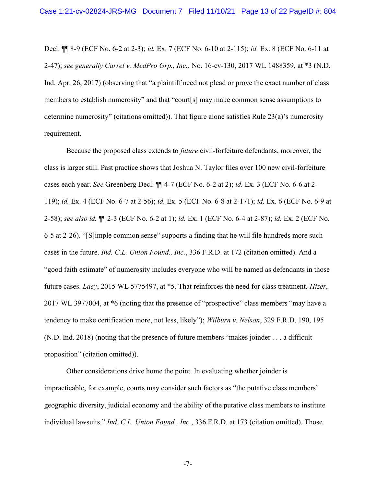Decl. ¶¶ 8-9 (ECF No. 6-2 at 2-3); id. Ex. 7 (ECF No. 6-10 at 2-115); id. Ex. 8 (ECF No. 6-11 at 2-47); see generally Carrel v. MedPro Grp., Inc., No. 16-cv-130, 2017 WL 1488359, at \*3 (N.D. Ind. Apr. 26, 2017) (observing that "a plaintiff need not plead or prove the exact number of class members to establish numerosity" and that "court[s] may make common sense assumptions to determine numerosity" (citations omitted)). That figure alone satisfies Rule 23(a)'s numerosity requirement.

Because the proposed class extends to future civil-forfeiture defendants, moreover, the class is larger still. Past practice shows that Joshua N. Taylor files over 100 new civil-forfeiture cases each year. See Greenberg Decl. ¶¶ 4-7 (ECF No. 6-2 at 2); id. Ex. 3 (ECF No. 6-6 at 2- 119); id. Ex. 4 (ECF No. 6-7 at 2-56); id. Ex. 5 (ECF No. 6-8 at 2-171); id. Ex. 6 (ECF No. 6-9 at 2-58); see also id. ¶¶ 2-3 (ECF No. 6-2 at 1); id. Ex. 1 (ECF No. 6-4 at 2-87); id. Ex. 2 (ECF No. 6-5 at 2-26). "[S]imple common sense" supports a finding that he will file hundreds more such cases in the future. Ind. C.L. Union Found., Inc., 336 F.R.D. at 172 (citation omitted). And a "good faith estimate" of numerosity includes everyone who will be named as defendants in those future cases. Lacy, 2015 WL 5775497, at \*5. That reinforces the need for class treatment. Hizer, 2017 WL 3977004, at \*6 (noting that the presence of "prospective" class members "may have a tendency to make certification more, not less, likely"); Wilburn v. Nelson, 329 F.R.D. 190, 195 (N.D. Ind. 2018) (noting that the presence of future members "makes joinder . . . a difficult proposition" (citation omitted)).

Other considerations drive home the point. In evaluating whether joinder is impracticable, for example, courts may consider such factors as "the putative class members' geographic diversity, judicial economy and the ability of the putative class members to institute individual lawsuits." Ind. C.L. Union Found., Inc., 336 F.R.D. at 173 (citation omitted). Those

-7-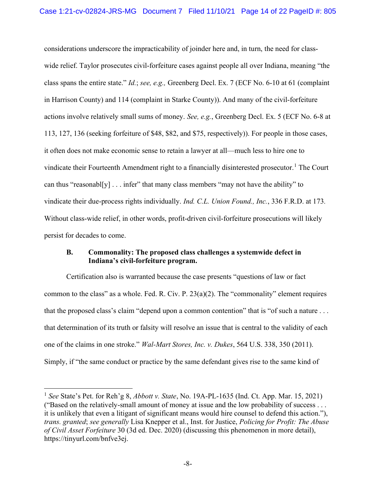considerations underscore the impracticability of joinder here and, in turn, the need for classwide relief. Taylor prosecutes civil-forfeiture cases against people all over Indiana, meaning "the class spans the entire state." Id.; see, e.g., Greenberg Decl. Ex. 7 (ECF No. 6-10 at 61 (complaint in Harrison County) and 114 (complaint in Starke County)). And many of the civil-forfeiture actions involve relatively small sums of money. See, e.g., Greenberg Decl. Ex. 5 (ECF No. 6-8 at 113, 127, 136 (seeking forfeiture of \$48, \$82, and \$75, respectively)). For people in those cases, it often does not make economic sense to retain a lawyer at all—much less to hire one to vindicate their Fourteenth Amendment right to a financially disinterested prosecutor.<sup>1</sup> The Court can thus "reasonabl[y]  $\dots$  infer" that many class members "may not have the ability" to vindicate their due-process rights individually. Ind. C.L. Union Found., Inc., 336 F.R.D. at 173. Without class-wide relief, in other words, profit-driven civil-forfeiture prosecutions will likely persist for decades to come.

## B. Commonality: The proposed class challenges a systemwide defect in Indiana's civil-forfeiture program.

Certification also is warranted because the case presents "questions of law or fact common to the class" as a whole. Fed. R. Civ. P. 23(a)(2). The "commonality" element requires that the proposed class's claim "depend upon a common contention" that is "of such a nature . . . that determination of its truth or falsity will resolve an issue that is central to the validity of each one of the claims in one stroke." Wal-Mart Stores, Inc. v. Dukes, 564 U.S. 338, 350 (2011). Simply, if "the same conduct or practice by the same defendant gives rise to the same kind of

<sup>&</sup>lt;sup>1</sup> See State's Pet. for Reh'g 8, *Abbott v. State*, No. 19A-PL-1635 (Ind. Ct. App. Mar. 15, 2021) ("Based on the relatively-small amount of money at issue and the low probability of success . . . it is unlikely that even a litigant of significant means would hire counsel to defend this action."), trans. granted; see generally Lisa Knepper et al., Inst. for Justice, Policing for Profit: The Abuse of Civil Asset Forfeiture 30 (3d ed. Dec. 2020) (discussing this phenomenon in more detail), https://tinyurl.com/bnfve3ej.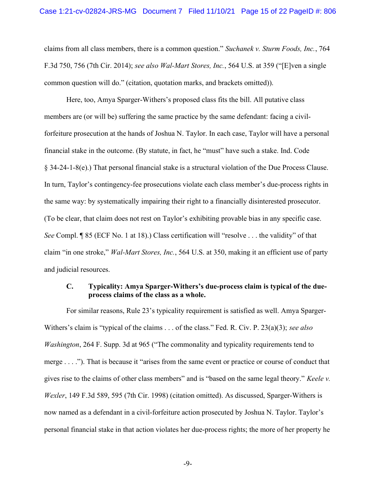claims from all class members, there is a common question." Suchanek v. Sturm Foods, Inc., 764 F.3d 750, 756 (7th Cir. 2014); see also Wal-Mart Stores, Inc., 564 U.S. at 359 ("[E]ven a single common question will do." (citation, quotation marks, and brackets omitted)).

Here, too, Amya Sparger-Withers's proposed class fits the bill. All putative class members are (or will be) suffering the same practice by the same defendant: facing a civilforfeiture prosecution at the hands of Joshua N. Taylor. In each case, Taylor will have a personal financial stake in the outcome. (By statute, in fact, he "must" have such a stake. Ind. Code § 34-24-1-8(e).) That personal financial stake is a structural violation of the Due Process Clause. In turn, Taylor's contingency-fee prosecutions violate each class member's due-process rights in the same way: by systematically impairing their right to a financially disinterested prosecutor. (To be clear, that claim does not rest on Taylor's exhibiting provable bias in any specific case. See Compl. ¶ 85 (ECF No. 1 at 18).) Class certification will "resolve . . . the validity" of that claim "in one stroke," Wal-Mart Stores, Inc., 564 U.S. at 350, making it an efficient use of party and judicial resources.

## C. Typicality: Amya Sparger-Withers's due-process claim is typical of the dueprocess claims of the class as a whole.

For similar reasons, Rule 23's typicality requirement is satisfied as well. Amya Sparger-Withers's claim is "typical of the claims . . . of the class." Fed. R. Civ. P. 23(a)(3); see also Washington, 264 F. Supp. 3d at 965 ("The commonality and typicality requirements tend to merge . . . ."). That is because it "arises from the same event or practice or course of conduct that gives rise to the claims of other class members" and is "based on the same legal theory." Keele v. Wexler, 149 F.3d 589, 595 (7th Cir. 1998) (citation omitted). As discussed, Sparger-Withers is now named as a defendant in a civil-forfeiture action prosecuted by Joshua N. Taylor. Taylor's personal financial stake in that action violates her due-process rights; the more of her property he

-9-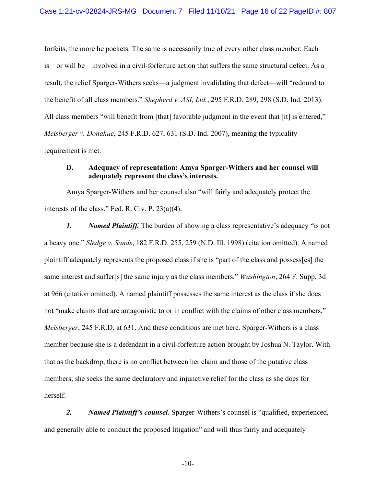forfeits, the more he pockets. The same is necessarily true of every other class member: Each is—or will be—involved in a civil-forfeiture action that suffers the same structural defect. As a result, the relief Sparger-Withers seeks—a judgment invalidating that defect—will "redound to the benefit of all class members." Shepherd v. ASI, Ltd., 295 F.R.D. 289, 298 (S.D. Ind. 2013). All class members "will benefit from [that] favorable judgment in the event that [it] is entered," Meisberger v. Donahue, 245 F.R.D. 627, 631 (S.D. Ind. 2007), meaning the typicality requirement is met.

## D. Adequacy of representation: Amya Sparger-Withers and her counsel will adequately represent the class's interests.

Amya Sparger-Withers and her counsel also "will fairly and adequately protect the interests of the class." Fed. R. Civ. P. 23(a)(4).

1. Named Plaintiff. The burden of showing a class representative's adequacy "is not a heavy one." Sledge v. Sands, 182 F.R.D. 255, 259 (N.D. Ill. 1998) (citation omitted). A named plaintiff adequately represents the proposed class if she is "part of the class and possess[es] the same interest and suffer[s] the same injury as the class members." *Washington*, 264 F. Supp. 3d at 966 (citation omitted). A named plaintiff possesses the same interest as the class if she does not "make claims that are antagonistic to or in conflict with the claims of other class members." Meisberger, 245 F.R.D. at 631. And these conditions are met here. Sparger-Withers is a class member because she is a defendant in a civil-forfeiture action brought by Joshua N. Taylor. With that as the backdrop, there is no conflict between her claim and those of the putative class members; she seeks the same declaratory and injunctive relief for the class as she does for herself.

2. Named Plaintiff's counsel. Sparger-Withers's counsel is "qualified, experienced, and generally able to conduct the proposed litigation" and will thus fairly and adequately

-10-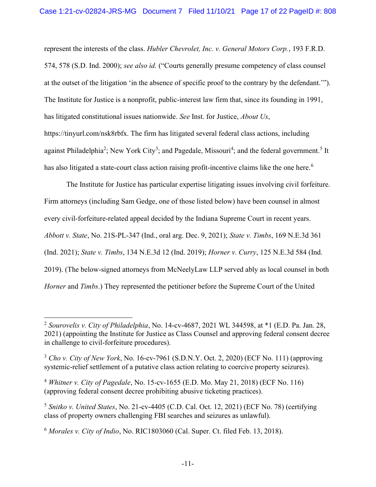represent the interests of the class. Hubler Chevrolet, Inc. v. General Motors Corp., 193 F.R.D. 574, 578 (S.D. Ind. 2000); see also id. ("Courts generally presume competency of class counsel at the outset of the litigation 'in the absence of specific proof to the contrary by the defendant.'"). The Institute for Justice is a nonprofit, public-interest law firm that, since its founding in 1991, has litigated constitutional issues nationwide. See Inst. for Justice, About Us, https://tinyurl.com/nsk8rbfx. The firm has litigated several federal class actions, including against Philadelphia<sup>2</sup>; New York City<sup>3</sup>; and Pagedale, Missouri<sup>4</sup>; and the federal government.<sup>5</sup> It has also litigated a state-court class action raising profit-incentive claims like the one here.<sup>6</sup>

The Institute for Justice has particular expertise litigating issues involving civil forfeiture. Firm attorneys (including Sam Gedge, one of those listed below) have been counsel in almost every civil-forfeiture-related appeal decided by the Indiana Supreme Court in recent years. Abbott v. State, No. 21S-PL-347 (Ind., oral arg. Dec. 9, 2021); State v. Timbs, 169 N.E.3d 361 (Ind. 2021); State v. Timbs, 134 N.E.3d 12 (Ind. 2019); Horner v. Curry, 125 N.E.3d 584 (Ind. 2019). (The below-signed attorneys from McNeelyLaw LLP served ably as local counsel in both Horner and Timbs.) They represented the petitioner before the Supreme Court of the United

<sup>&</sup>lt;sup>2</sup> Sourovelis v. City of Philadelphia, No. 14-cv-4687, 2021 WL 344598, at  $*1$  (E.D. Pa. Jan. 28, 2021) (appointing the Institute for Justice as Class Counsel and approving federal consent decree in challenge to civil-forfeiture procedures).

 $3$  Cho v. City of New York, No. 16-cv-7961 (S.D.N.Y. Oct. 2, 2020) (ECF No. 111) (approving systemic-relief settlement of a putative class action relating to coercive property seizures).

<sup>&</sup>lt;sup>4</sup> Whitner v. City of Pagedale, No. 15-cv-1655 (E.D. Mo. May 21, 2018) (ECF No. 116) (approving federal consent decree prohibiting abusive ticketing practices).

<sup>&</sup>lt;sup>5</sup> Snitko v. United States, No. 21-cv-4405 (C.D. Cal. Oct. 12, 2021) (ECF No. 78) (certifying class of property owners challenging FBI searches and seizures as unlawful).

 $6$  Morales v. City of Indio, No. RIC1803060 (Cal. Super. Ct. filed Feb. 13, 2018).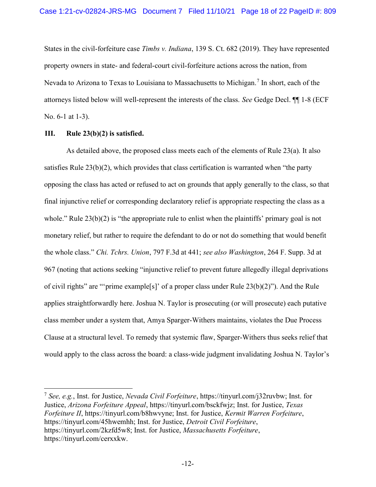States in the civil-forfeiture case Timbs v. Indiana, 139 S. Ct. 682 (2019). They have represented property owners in state- and federal-court civil-forfeiture actions across the nation, from Nevada to Arizona to Texas to Louisiana to Massachusetts to Michigan.<sup>7</sup> In short, each of the attorneys listed below will well-represent the interests of the class. See Gedge Decl. ¶¶ 1-8 (ECF No. 6-1 at 1-3).

### III. Rule 23(b)(2) is satisfied.

As detailed above, the proposed class meets each of the elements of Rule 23(a). It also satisfies Rule 23(b)(2), which provides that class certification is warranted when "the party opposing the class has acted or refused to act on grounds that apply generally to the class, so that final injunctive relief or corresponding declaratory relief is appropriate respecting the class as a whole." Rule  $23(b)(2)$  is "the appropriate rule to enlist when the plaintiffs' primary goal is not monetary relief, but rather to require the defendant to do or not do something that would benefit the whole class." Chi. Tchrs. Union, 797 F.3d at 441; see also Washington, 264 F. Supp. 3d at 967 (noting that actions seeking "injunctive relief to prevent future allegedly illegal deprivations of civil rights" are "'prime example[s]' of a proper class under Rule 23(b)(2)"). And the Rule applies straightforwardly here. Joshua N. Taylor is prosecuting (or will prosecute) each putative class member under a system that, Amya Sparger-Withers maintains, violates the Due Process Clause at a structural level. To remedy that systemic flaw, Sparger-Withers thus seeks relief that would apply to the class across the board: a class-wide judgment invalidating Joshua N. Taylor's

<sup>&</sup>lt;sup>7</sup> See. e.g., Inst. for Justice, Nevada Civil Forfeiture, https://tinyurl.com/j32ruvbw; Inst. for Justice, Arizona Forfeiture Appeal, https://tinyurl.com/bsckfwjz; Inst. for Justice, Texas Forfeiture II, https://tinyurl.com/b8hwvyne; Inst. for Justice, Kermit Warren Forfeiture, https://tinyurl.com/45hwemhh; Inst. for Justice, Detroit Civil Forfeiture, https://tinyurl.com/2kzfd5w8; Inst. for Justice, Massachusetts Forfeiture, https://tinyurl.com/cerxxkw.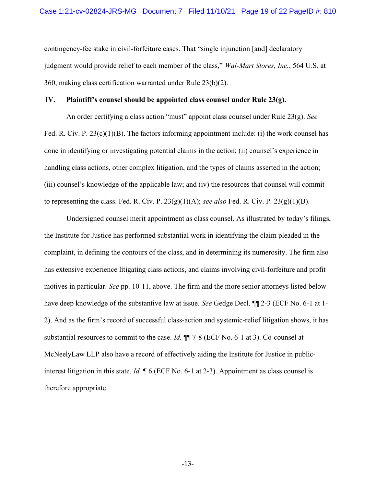contingency-fee stake in civil-forfeiture cases. That "single injunction [and] declaratory judgment would provide relief to each member of the class," Wal-Mart Stores, Inc., 564 U.S. at 360, making class certification warranted under Rule 23(b)(2).

#### IV. Plaintiff's counsel should be appointed class counsel under Rule 23(g).

An order certifying a class action "must" appoint class counsel under Rule 23(g). See Fed. R. Civ. P.  $23(c)(1)(B)$ . The factors informing appointment include: (i) the work counsel has done in identifying or investigating potential claims in the action; (ii) counsel's experience in handling class actions, other complex litigation, and the types of claims asserted in the action; (iii) counsel's knowledge of the applicable law; and (iv) the resources that counsel will commit to representing the class. Fed. R. Civ. P.  $23(g)(1)(A)$ ; see also Fed. R. Civ. P.  $23(g)(1)(B)$ .

Undersigned counsel merit appointment as class counsel. As illustrated by today's filings, the Institute for Justice has performed substantial work in identifying the claim pleaded in the complaint, in defining the contours of the class, and in determining its numerosity. The firm also has extensive experience litigating class actions, and claims involving civil-forfeiture and profit motives in particular. See pp. 10-11, above. The firm and the more senior attorneys listed below have deep knowledge of the substantive law at issue. See Gedge Decl.  $\P$  2-3 (ECF No. 6-1 at 1-2). And as the firm's record of successful class-action and systemic-relief litigation shows, it has substantial resources to commit to the case. Id. ¶¶ 7-8 (ECF No. 6-1 at 3). Co-counsel at McNeelyLaw LLP also have a record of effectively aiding the Institute for Justice in publicinterest litigation in this state. Id.  $\parallel$  6 (ECF No. 6-1 at 2-3). Appointment as class counsel is therefore appropriate.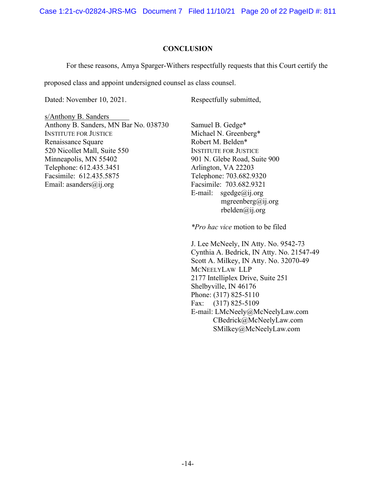Case 1:21-cv-02824-JRS-MG Document 7 Filed 11/10/21 Page 20 of 22 PageID #: 811

### **CONCLUSION**

For these reasons, Amya Sparger-Withers respectfully requests that this Court certify the

proposed class and appoint undersigned counsel as class counsel.

Dated: November 10, 2021.

Respectfully submitted,

s/Anthony B. Sanders Anthony B. Sanders, MN Bar No. 038730 INSTITUTE FOR JUSTICE Renaissance Square 520 Nicollet Mall, Suite 550 Minneapolis, MN 55402 Telephone: 612.435.3451 Facsimile: 612.435.5875 Email: asanders@ij.org

Samuel B. Gedge\* Michael N. Greenberg\* Robert M. Belden\* INSTITUTE FOR JUSTICE 901 N. Glebe Road, Suite 900 Arlington, VA 22203 Telephone: 703.682.9320 Facsimile: 703.682.9321 E-mail:  $sgedge@ij.org$ mgreenberg@ij.org rbelden@ij.org

\*Pro hac vice motion to be filed

J. Lee McNeely, IN Atty. No. 9542-73 Cynthia A. Bedrick, IN Atty. No. 21547-49 Scott A. Milkey, IN Atty. No. 32070-49 MCNEELYLAW LLP 2177 Intelliplex Drive, Suite 251 Shelbyville, IN 46176 Phone: (317) 825-5110 Fax: (317) 825-5109 E-mail: LMcNeely@McNeelyLaw.com CBedrick@McNeelyLaw.com SMilkey@McNeelyLaw.com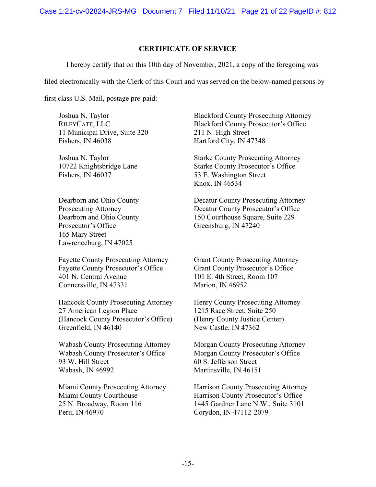Case 1:21-cv-02824-JRS-MG Document 7 Filed 11/10/21 Page 21 of 22 PageID #: 812

### CERTIFICATE OF SERVICE

I hereby certify that on this 10th day of November, 2021, a copy of the foregoing was

filed electronically with the Clerk of this Court and was served on the below-named persons by

first class U.S. Mail, postage pre-paid:

Joshua N. Taylor RILEYCATE, LLC 11 Municipal Drive, Suite 320 Fishers, IN 46038

Joshua N. Taylor 10722 Knightsbridge Lane Fishers, IN 46037

Dearborn and Ohio County Prosecuting Attorney Dearborn and Ohio County Prosecutor's Office 165 Mary Street Lawrenceburg, IN 47025

Fayette County Prosecuting Attorney Fayette County Prosecutor's Office 401 N. Central Avenue Connersville, IN 47331

Hancock County Prosecuting Attorney 27 American Legion Place (Hancock County Prosecutor's Office) Greenfield, IN 46140

Wabash County Prosecuting Attorney Wabash County Prosecutor's Office 93 W. Hill Street Wabash, IN 46992

Miami County Prosecuting Attorney Miami County Courthouse 25 N. Broadway, Room 116 Peru, IN 46970

Blackford County Prosecuting Attorney Blackford County Prosecutor's Office 211 N. High Street Hartford City, IN 47348

Starke County Prosecuting Attorney Starke County Prosecutor's Office 53 E. Washington Street Knox, IN 46534

Decatur County Prosecuting Attorney Decatur County Prosecutor's Office 150 Courthouse Square, Suite 229 Greensburg, IN 47240

Grant County Prosecuting Attorney Grant County Prosecutor's Office 101 E. 4th Street, Room 107 Marion, IN 46952

Henry County Prosecuting Attorney 1215 Race Street, Suite 250 (Henry County Justice Center) New Castle, IN 47362

Morgan County Prosecuting Attorney Morgan County Prosecutor's Office 60 S. Jefferson Street Martinsville, IN 46151

Harrison County Prosecuting Attorney Harrison County Prosecutor's Office 1445 Gardner Lane N.W., Suite 3101 Corydon, IN 47112-2079